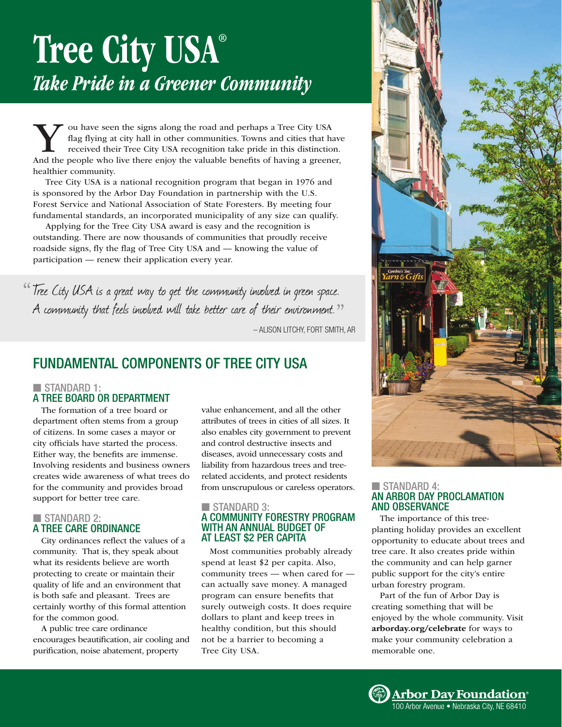# Tree City USA® *Take Pride in a Greener Community*

Vou have seen the signs along the road and perhaps a Tree City USA<br>flag flying at city hall in other communities. Towns and cities that has<br>received their Tree City USA recognition take pride in this distinction<br>and the pe flag flying at city hall in other communities. Towns and cities that have received their Tree City USA recognition take pride in this distinction. And the people who live there enjoy the valuable benefits of having a greener, healthier community.

Tree City USA is a national recognition program that began in 1976 and is sponsored by the Arbor Day Foundation in partnership with the U.S. Forest Service and National Association of State Foresters. By meeting four fundamental standards, an incorporated municipality of any size can qualify.

Applying for the Tree City USA award is easy and the recognition is outstanding. There are now thousands of communities that proudly receive roadside signs, fly the flag of Tree City USA and — knowing the value of participation — renew their application every year.

<sup>66</sup> Tree City USA is a great way to get the community involved in green space. A community that feels involved will take better care of their environment.<sup>??</sup>

– ALISON LITCHY, FORT SMITH, AR

## FUNDAMENTAL COMPONENTS OF TREE CITY USA

### $\blacksquare$  STANDARD 1: A TREE BOARD OR DEPARTMENT

The formation of a tree board or department often stems from a group of citizens. In some cases a mayor or city officials have started the process. Either way, the benefits are immense. Involving residents and business owners creates wide awareness of what trees do for the community and provides broad support for better tree care.

#### $\blacksquare$  STANDARD 2: A TREE CARE ORDINANCE

City ordinances reflect the values of a community. That is, they speak about what its residents believe are worth protecting to create or maintain their quality of life and an environment that

is both safe and pleasant. Trees are certainly worthy of this formal attention for the common good.

A public tree care ordinance encourages beautification, air cooling and purification, noise abatement, property

value enhancement, and all the other attributes of trees in cities of all sizes. It also enables city government to prevent and control destructive insects and diseases, avoid unnecessary costs and liability from hazardous trees and treerelated accidents, and protect residents from unscrupulous or careless operators.

#### $\blacksquare$  STANDARD 3: A COMMUNITY FORESTRY PROGRAM WITH AN ANNUAL BUDGET OF AT LEAST \$2 PER CAPITA

Most communities probably already spend at least \$2 per capita. Also, community trees — when cared for can actually save money. A managed program can ensure benefits that surely outweigh costs. It does require dollars to plant and keep trees in healthy condition, but this should not be a barrier to becoming a Tree City USA.



#### STANDARD 4: AN ARBOR DAY PROCLAMATION AND OBSERVANCE

The importance of this treeplanting holiday provides an excellent opportunity to educate about trees and tree care. It also creates pride within the community and can help garner public support for the city's entire urban forestry program.

Part of the fun of Arbor Day is creating something that will be enjoyed by the whole community. Visit arborday.org/celebrate for ways to make your community celebration a memorable one.

**Arbor Day Foundation**<br>100 Arbor Avenue • Nebraska Citv. NE 68410